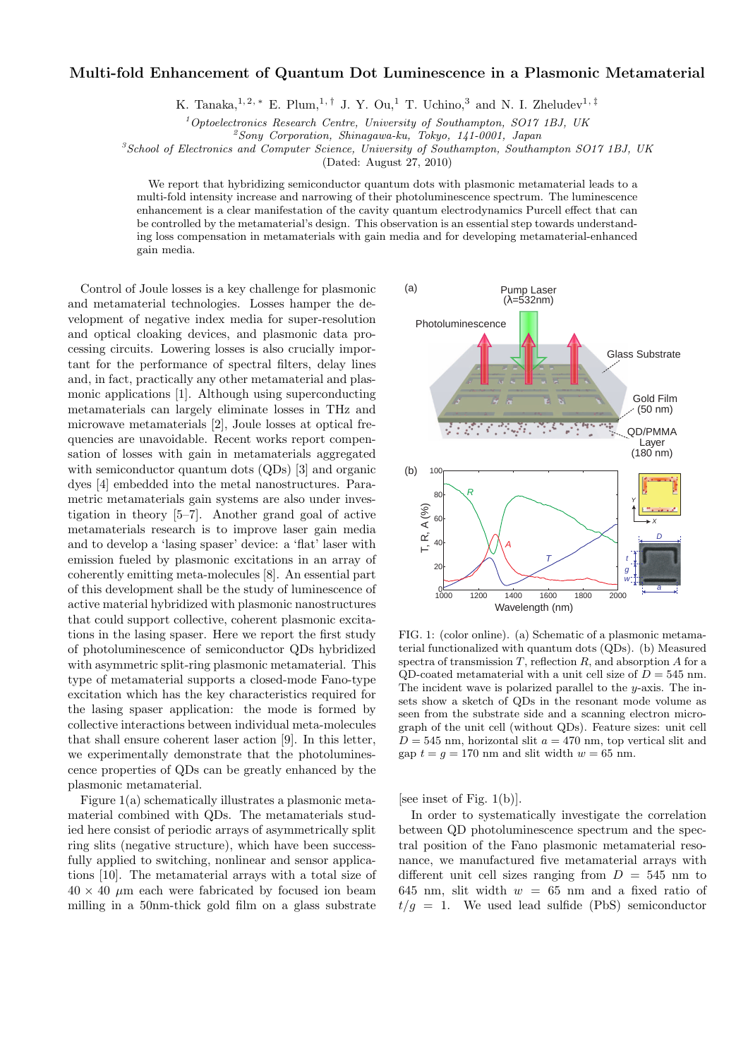## Multi-fold Enhancement of Quantum Dot Luminescence in a Plasmonic Metamaterial

K. Tanaka,<sup>1, 2, ∗</sup> E. Plum,<sup>1,†</sup> J. Y. Ou,<sup>1</sup> T. Uchino,<sup>3</sup> and N. I. Zheludev<sup>1,‡</sup>

 $1$ Optoelectronics Research Centre, University of Southampton, SO17 1BJ, UK

 $^{2}$ Sony Corporation, Shinagawa-ku, Tokyo, 141-0001, Japan

 ${}^{3}S$ chool of Electronics and Computer Science, University of Southampton, Southampton SO17 1BJ, UK

(Dated: August 27, 2010)

We report that hybridizing semiconductor quantum dots with plasmonic metamaterial leads to a multi-fold intensity increase and narrowing of their photoluminescence spectrum. The luminescence enhancement is a clear manifestation of the cavity quantum electrodynamics Purcell effect that can be controlled by the metamaterial's design. This observation is an essential step towards understanding loss compensation in metamaterials with gain media and for developing metamaterial-enhanced gain media.

Control of Joule losses is a key challenge for plasmonic and metamaterial technologies. Losses hamper the development of negative index media for super-resolution and optical cloaking devices, and plasmonic data processing circuits. Lowering losses is also crucially important for the performance of spectral filters, delay lines and, in fact, practically any other metamaterial and plasmonic applications [1]. Although using superconducting metamaterials can largely eliminate losses in THz and microwave metamaterials [2], Joule losses at optical frequencies are unavoidable. Recent works report compensation of losses with gain in metamaterials aggregated with semiconductor quantum dots (QDs) [3] and organic dyes [4] embedded into the metal nanostructures. Parametric metamaterials gain systems are also under investigation in theory [5–7]. Another grand goal of active metamaterials research is to improve laser gain media and to develop a 'lasing spaser' device: a 'flat' laser with emission fueled by plasmonic excitations in an array of coherently emitting meta-molecules [8]. An essential part of this development shall be the study of luminescence of active material hybridized with plasmonic nanostructures that could support collective, coherent plasmonic excitations in the lasing spaser. Here we report the first study of photoluminescence of semiconductor QDs hybridized with asymmetric split-ring plasmonic metamaterial. This type of metamaterial supports a closed-mode Fano-type excitation which has the key characteristics required for the lasing spaser application: the mode is formed by collective interactions between individual meta-molecules that shall ensure coherent laser action [9]. In this letter, we experimentally demonstrate that the photoluminescence properties of QDs can be greatly enhanced by the plasmonic metamaterial.

Figure 1(a) schematically illustrates a plasmonic metamaterial combined with QDs. The metamaterials studied here consist of periodic arrays of asymmetrically split ring slits (negative structure), which have been successfully applied to switching, nonlinear and sensor applications [10]. The metamaterial arrays with a total size of  $40 \times 40$  µm each were fabricated by focused ion beam milling in a 50nm-thick gold film on a glass substrate



FIG. 1: (color online). (a) Schematic of a plasmonic metamaterial functionalized with quantum dots (QDs). (b) Measured spectra of transmission  $T$ , reflection  $R$ , and absorption  $A$  for a QD-coated metamaterial with a unit cell size of  $D = 545$  nm. The incident wave is polarized parallel to the  $y$ -axis. The insets show a sketch of QDs in the resonant mode volume as seen from the substrate side and a scanning electron micrograph of the unit cell (without QDs). Feature sizes: unit cell  $D = 545$  nm, horizontal slit  $a = 470$  nm, top vertical slit and gap  $t = g = 170$  nm and slit width  $w = 65$  nm.

[see inset of Fig. 1(b)].

In order to systematically investigate the correlation between QD photoluminescence spectrum and the spectral position of the Fano plasmonic metamaterial resonance, we manufactured five metamaterial arrays with different unit cell sizes ranging from  $D = 545$  nm to 645 nm, slit width  $w = 65$  nm and a fixed ratio of  $t/q = 1$ . We used lead sulfide (PbS) semiconductor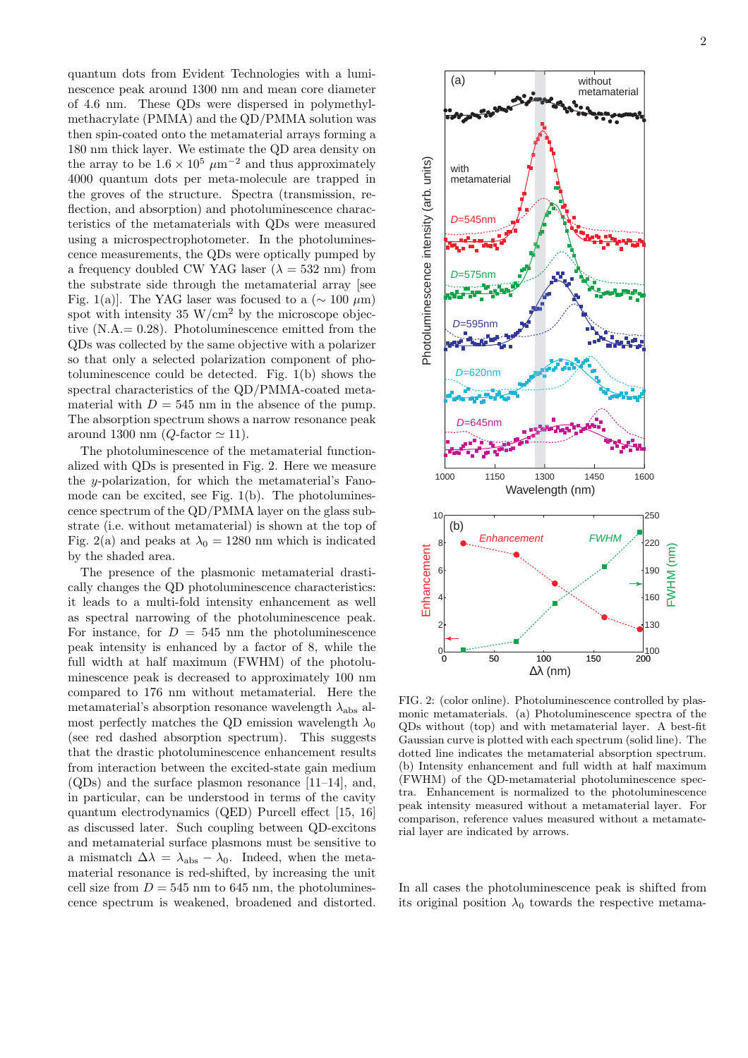quantum dots from Evident Technologies with a luminescence peak around 1300 nm and mean core diameter of 4.6 nm. These QDs were dispersed in polymethylmethacrylate (PMMA) and the QD/PMMA solution was then spin-coated onto the metamaterial arrays forming a 180 nm thick layer. We estimate the QD area density on the array to be  $1.6 \times 10^5 \ \mu m^{-2}$  and thus approximately 4000 quantum dots per meta-molecule are trapped in the groves of the structure. Spectra (transmission, reflection, and absorption) and photoluminescence characteristics of the metamaterials with QDs were measured using a microspectrophotometer. In the photoluminescence measurements, the QDs were optically pumped by a frequency doubled CW YAG laser ( $\lambda = 532$  nm) from the substrate side through the metamaterial array [see Fig. 1(a)]. The YAG laser was focused to a ( $\sim 100 \ \mu m$ ) spot with intensity  $35 \text{ W/cm}^2$  by the microscope objective (N.A.= 0.28). Photoluminescence emitted from the QDs was collected by the same objective with a polarizer so that only a selected polarization component of photoluminescence could be detected. Fig. 1(b) shows the spectral characteristics of the QD/PMMA-coated metamaterial with  $D = 545$  nm in the absence of the pump. The absorption spectrum shows a narrow resonance peak around 1300 nm ( $Q$ -factor  $\simeq$  11).

The photoluminescence of the metamaterial functionalized with QDs is presented in Fig. 2. Here we measure the y-polarization, for which the metamaterial's Fanomode can be excited, see Fig. 1(b). The photoluminescence spectrum of the QD/PMMA layer on the glass substrate (i.e. without metamaterial) is shown at the top of Fig. 2(a) and peaks at  $\lambda_0 = 1280$  nm which is indicated by the shaded area.

The presence of the plasmonic metamaterial drastically changes the QD photoluminescence characteristics: it leads to a multi-fold intensity enhancement as well as spectral narrowing of the photoluminescence peak. For instance, for  $D = 545$  nm the photoluminescence peak intensity is enhanced by a factor of 8, while the full width at half maximum (FWHM) of the photoluminescence peak is decreased to approximately 100 nm compared to 176 nm without metamaterial. Here the metamaterial's absorption resonance wavelength  $\lambda_{\text{abs}}$  almost perfectly matches the QD emission wavelength  $\lambda_0$ (see red dashed absorption spectrum). This suggests that the drastic photoluminescence enhancement results from interaction between the excited-state gain medium (QDs) and the surface plasmon resonance [11–14], and, in particular, can be understood in terms of the cavity quantum electrodynamics (QED) Purcell effect [15, 16] as discussed later. Such coupling between QD-excitons and metamaterial surface plasmons must be sensitive to a mismatch  $\Delta \lambda = \lambda_{\text{abs}} - \lambda_0$ . Indeed, when the metamaterial resonance is red-shifted, by increasing the unit cell size from  $D = 545$  nm to 645 nm, the photoluminescence spectrum is weakened, broadened and distorted. without metamaterial

(a)



QDs without (top) and with metamaterial layer. A best-fit Gaussian curve is plotted with each spectrum (solid line). The dotted line indicates the metamaterial absorption spectrum. (b) Intensity enhancement and full width at half maximum (FWHM) of the QD-metamaterial photoluminescence spectra. Enhancement is normalized to the photoluminescence peak intensity measured without a metamaterial layer. For comparison, reference values measured without a metamaterial layer are indicated by arrows.

In all cases the photoluminescence peak is shifted from its original position  $\lambda_0$  towards the respective metama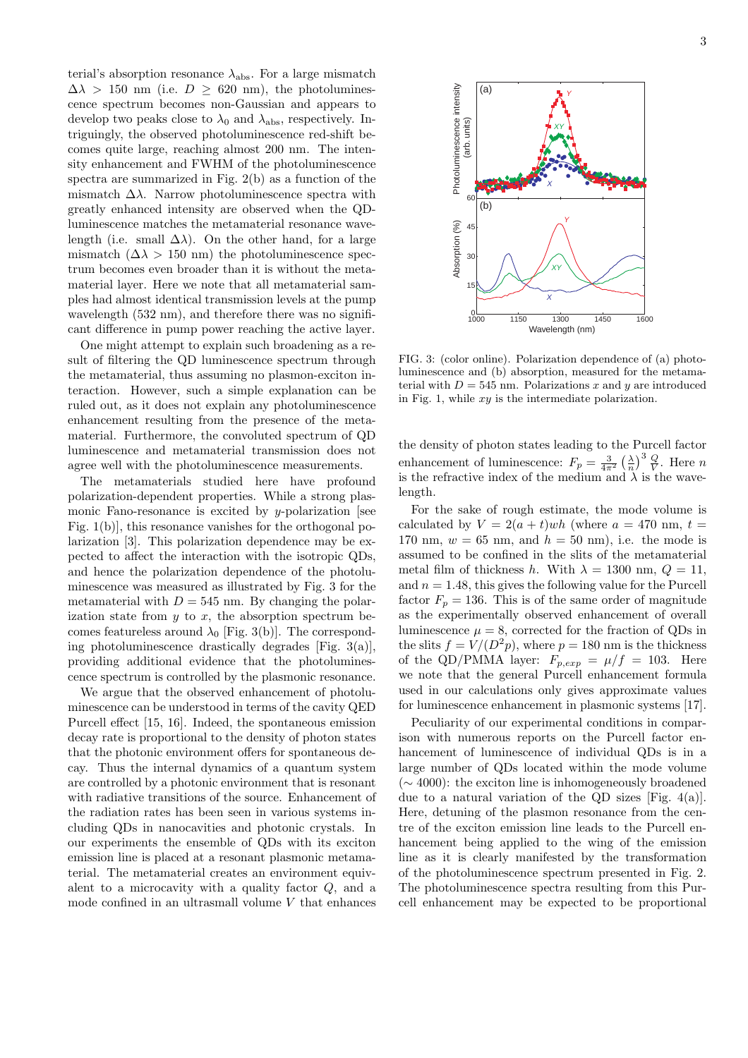terial's absorption resonance  $\lambda_{\rm abs}$ . For a large mismatch  $\Delta\lambda$  > 150 nm (i.e.  $D \geq 620$  nm), the photoluminescence spectrum becomes non-Gaussian and appears to develop two peaks close to  $\lambda_0$  and  $\lambda_{\text{abs}}$ , respectively. Intriguingly, the observed photoluminescence red-shift becomes quite large, reaching almost 200 nm. The intensity enhancement and FWHM of the photoluminescence spectra are summarized in Fig. 2(b) as a function of the mismatch  $\Delta\lambda$ . Narrow photoluminescence spectra with greatly enhanced intensity are observed when the QDluminescence matches the metamaterial resonance wavelength (i.e. small  $\Delta\lambda$ ). On the other hand, for a large mismatch  $(\Delta \lambda > 150 \text{ nm})$  the photoluminescence spectrum becomes even broader than it is without the metamaterial layer. Here we note that all metamaterial samples had almost identical transmission levels at the pump wavelength  $(532 \text{ nm})$ , and therefore there was no significant difference in pump power reaching the active layer.

One might attempt to explain such broadening as a result of filtering the QD luminescence spectrum through the metamaterial, thus assuming no plasmon-exciton interaction. However, such a simple explanation can be ruled out, as it does not explain any photoluminescence enhancement resulting from the presence of the metamaterial. Furthermore, the convoluted spectrum of QD luminescence and metamaterial transmission does not agree well with the photoluminescence measurements.

The metamaterials studied here have profound polarization-dependent properties. While a strong plasmonic Fano-resonance is excited by  $y$ -polarization [see Fig. 1(b)], this resonance vanishes for the orthogonal polarization [3]. This polarization dependence may be expected to affect the interaction with the isotropic QDs, and hence the polarization dependence of the photoluminescence was measured as illustrated by Fig. 3 for the metamaterial with  $D = 545$  nm. By changing the polarization state from  $y$  to  $x$ , the absorption spectrum becomes featureless around  $\lambda_0$  [Fig. 3(b)]. The corresponding photoluminescence drastically degrades [Fig. 3(a)], providing additional evidence that the photoluminescence spectrum is controlled by the plasmonic resonance.

We argue that the observed enhancement of photoluminescence can be understood in terms of the cavity QED Purcell effect [15, 16]. Indeed, the spontaneous emission decay rate is proportional to the density of photon states that the photonic environment offers for spontaneous decay. Thus the internal dynamics of a quantum system are controlled by a photonic environment that is resonant with radiative transitions of the source. Enhancement of the radiation rates has been seen in various systems including QDs in nanocavities and photonic crystals. In our experiments the ensemble of QDs with its exciton emission line is placed at a resonant plasmonic metamaterial. The metamaterial creates an environment equivalent to a microcavity with a quality factor Q, and a mode confined in an ultrasmall volume  $V$  that enhances



FIG. 3: (color online). Polarization dependence of (a) photoluminescence and (b) absorption, measured for the metamaterial with  $D = 545$  nm. Polarizations x and y are introduced in Fig. 1, while  $xy$  is the intermediate polarization.

the density of photon states leading to the Purcell factor enhancement of luminescence:  $F_p = \frac{3}{4\pi^2}$  $\left(\frac{\lambda}{n}\right)^3 \frac{Q}{V}$ . Here *n* is the refractive index of the medium and  $\lambda$  is the wavelength.

For the sake of rough estimate, the mode volume is calculated by  $V = 2(a + t)wh$  (where  $a = 470$  nm,  $t =$ 170 nm,  $w = 65$  nm, and  $h = 50$  nm), i.e. the mode is assumed to be confined in the slits of the metamaterial metal film of thickness h. With  $\lambda = 1300$  nm,  $Q = 11$ , and  $n = 1.48$ , this gives the following value for the Purcell factor  $F_p = 136$ . This is of the same order of magnitude as the experimentally observed enhancement of overall luminescence  $\mu = 8$ , corrected for the fraction of QDs in the slits  $f = V/(D^2p)$ , where  $p = 180$  nm is the thickness of the QD/PMMA layer:  $F_{p,exp} = \mu/f = 103$ . Here we note that the general Purcell enhancement formula used in our calculations only gives approximate values for luminescence enhancement in plasmonic systems [17].

Peculiarity of our experimental conditions in comparison with numerous reports on the Purcell factor enhancement of luminescence of individual QDs is in a large number of QDs located within the mode volume (∼ 4000): the exciton line is inhomogeneously broadened due to a natural variation of the QD sizes [Fig.  $4(a)$ ]. Here, detuning of the plasmon resonance from the centre of the exciton emission line leads to the Purcell enhancement being applied to the wing of the emission line as it is clearly manifested by the transformation of the photoluminescence spectrum presented in Fig. 2. The photoluminescence spectra resulting from this Purcell enhancement may be expected to be proportional